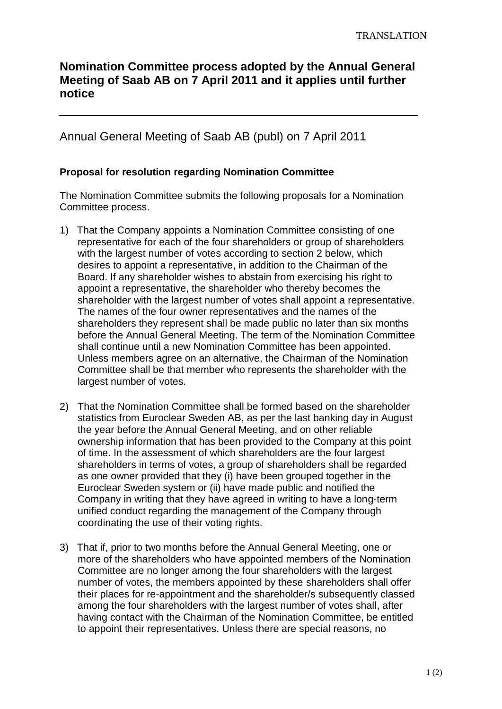## **Nomination Committee process adopted by the Annual General Meeting of Saab AB on 7 April 2011 and it applies until further notice**

Annual General Meeting of Saab AB (publ) on 7 April 2011

## **Proposal for resolution regarding Nomination Committee**

The Nomination Committee submits the following proposals for a Nomination Committee process.

- 1) That the Company appoints a Nomination Committee consisting of one representative for each of the four shareholders or group of shareholders with the largest number of votes according to section 2 below, which desires to appoint a representative, in addition to the Chairman of the Board. If any shareholder wishes to abstain from exercising his right to appoint a representative, the shareholder who thereby becomes the shareholder with the largest number of votes shall appoint a representative. The names of the four owner representatives and the names of the shareholders they represent shall be made public no later than six months before the Annual General Meeting. The term of the Nomination Committee shall continue until a new Nomination Committee has been appointed. Unless members agree on an alternative, the Chairman of the Nomination Committee shall be that member who represents the shareholder with the largest number of votes.
- 2) That the Nomination Committee shall be formed based on the shareholder statistics from Euroclear Sweden AB, as per the last banking day in August the year before the Annual General Meeting, and on other reliable ownership information that has been provided to the Company at this point of time. In the assessment of which shareholders are the four largest shareholders in terms of votes, a group of shareholders shall be regarded as one owner provided that they (i) have been grouped together in the Euroclear Sweden system or (ii) have made public and notified the Company in writing that they have agreed in writing to have a long-term unified conduct regarding the management of the Company through coordinating the use of their voting rights.
- 3) That if, prior to two months before the Annual General Meeting, one or more of the shareholders who have appointed members of the Nomination Committee are no longer among the four shareholders with the largest number of votes, the members appointed by these shareholders shall offer their places for re-appointment and the shareholder/s subsequently classed among the four shareholders with the largest number of votes shall, after having contact with the Chairman of the Nomination Committee, be entitled to appoint their representatives. Unless there are special reasons, no